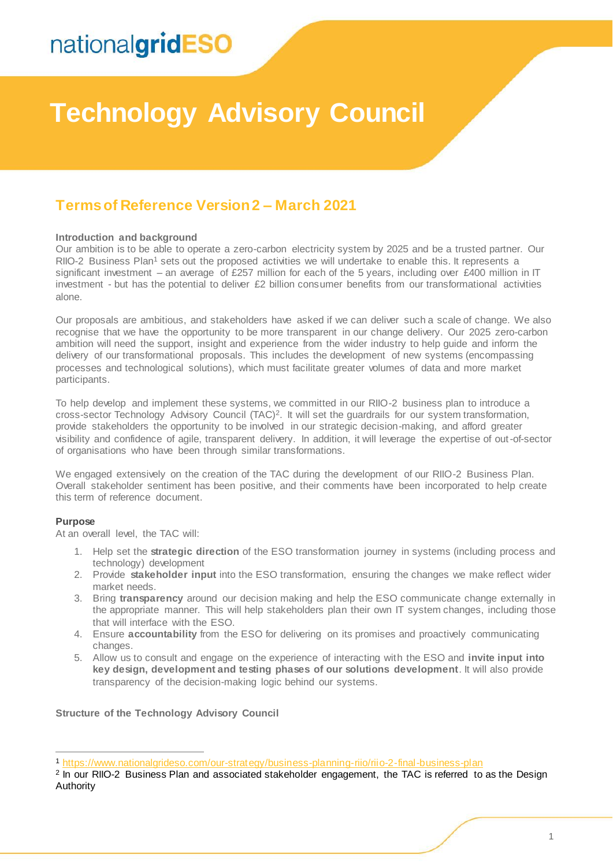# **Technology Advisory Council**

### **Terms of Reference Version 2 – March 2021**

### **Introduction and background**

Our ambition is to be able to operate a zero-carbon electricity system by 2025 and be a trusted partner. Our RIIO-2 Business Plan<sup>1</sup> sets out the proposed activities we will undertake to enable this. It represents a significant investment – an average of £257 million for each of the 5 years, including over £400 million in IT investment - but has the potential to deliver £2 billion consumer benefits from our transformational activities alone.

Our proposals are ambitious, and stakeholders have asked if we can deliver such a scale of change. We also recognise that we have the opportunity to be more transparent in our change delivery. Our 2025 zero-carbon ambition will need the support, insight and experience from the wider industry to help guide and inform the delivery of our transformational proposals. This includes the development of new systems (encompassing processes and technological solutions), which must facilitate greater volumes of data and more market participants.

To help develop and implement these systems, we committed in our RIIO-2 business plan to introduce a cross-sector Technology Advisory Council (TAC)<sup>2</sup> . It will set the guardrails for our system transformation, provide stakeholders the opportunity to be involved in our strategic decision-making, and afford greater visibility and confidence of agile, transparent delivery. In addition, it will leverage the expertise of out-of-sector of organisations who have been through similar transformations.

We engaged extensively on the creation of the TAC during the development of our RIIO-2 Business Plan. Overall stakeholder sentiment has been positive, and their comments have been incorporated to help create this term of reference document.

### **Purpose**

 $\overline{a}$ 

At an overall level, the TAC will:

- 1. Help set the **strategic direction** of the ESO transformation journey in systems (including process and technology) development
- 2. Provide **stakeholder input** into the ESO transformation, ensuring the changes we make reflect wider market needs.
- 3. Bring **transparency** around our decision making and help the ESO communicate change externally in the appropriate manner. This will help stakeholders plan their own IT system changes, including those that will interface with the ESO.
- 4. Ensure **accountability** from the ESO for delivering on its promises and proactively communicating changes.
- 5. Allow us to consult and engage on the experience of interacting with the ESO and **invite input into key design, development and testing phases of our solutions development**. It will also provide transparency of the decision-making logic behind our systems.

**Structure of the Technology Advisory Council**

<sup>1</sup> <https://www.nationalgrideso.com/our-strategy/business-planning-riio/riio-2-final-business-plan>

<sup>&</sup>lt;sup>2</sup> In our RIIO-2 Business Plan and associated stakeholder engagement, the TAC is referred to as the Design Authority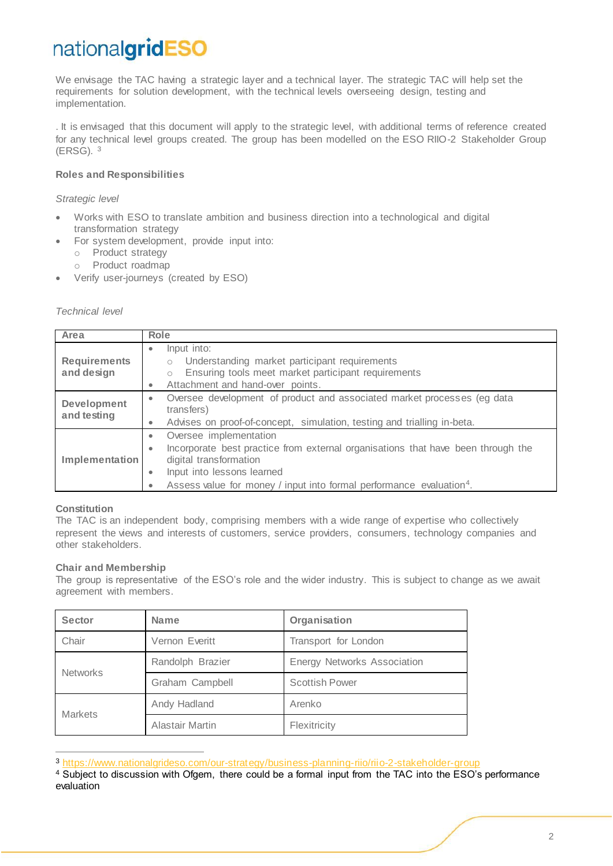We envisage the TAC having a strategic layer and a technical layer. The strategic TAC will help set the requirements for solution development, with the technical levels overseeing design, testing and implementation.

. It is envisaged that this document will apply to the strategic level, with additional terms of reference created for any technical level groups created. The group has been modelled on the ESO RIIO-2 Stakeholder Group (ERSG). <sup>3</sup>

### **Roles and Responsibilities**

*Strategic level*

- Works with ESO to translate ambition and business direction into a technological and digital transformation strategy
- For system development, provide input into:
	- o Product strategy
	- o Product roadmap
- Verify user-journeys (created by ESO)

### *Technical level*

| Area                              | Role                                                                                                                                                                                                                                                                                       |  |
|-----------------------------------|--------------------------------------------------------------------------------------------------------------------------------------------------------------------------------------------------------------------------------------------------------------------------------------------|--|
| <b>Requirements</b><br>and design | Input into:<br>۰<br>Understanding market participant requirements<br>$\circ$<br>Ensuring tools meet market participant requirements<br>$\circ$<br>Attachment and hand-over points.<br>$\bullet$                                                                                            |  |
| Development<br>and testing        | Oversee development of product and associated market processes (eg data<br>۰<br>transfers)<br>Advises on proof-of-concept, simulation, testing and trialling in-beta.<br>$\bullet$                                                                                                         |  |
| Implementation                    | Oversee implementation<br>۰<br>Incorporate best practice from external organisations that have been through the<br>$\bullet$<br>digital transformation<br>Input into lessons learned<br>$\bullet$<br>Assess value for money / input into formal performance evaluation <sup>4</sup> .<br>۰ |  |

### **Constitution**

 $\overline{a}$ 

The TAC is an independent body, comprising members with a wide range of expertise who collectively represent the views and interests of customers, service providers, consumers, technology companies and other stakeholders.

### **Chair and Membership**

The group is representative of the ESO's role and the wider industry. This is subject to change as we await agreement with members.

| <b>Sector</b>   | <b>Name</b>            | Organisation                       |
|-----------------|------------------------|------------------------------------|
| Chair           | Vernon Everitt         | Transport for London               |
| <b>Networks</b> | Randolph Brazier       | <b>Energy Networks Association</b> |
|                 | Graham Campbell        | <b>Scottish Power</b>              |
| <b>Markets</b>  | Andy Hadland           | Arenko                             |
|                 | <b>Alastair Martin</b> | Flexitricity                       |

<sup>3</sup> <https://www.nationalgrideso.com/our-strategy/business-planning-riio/riio-2-stakeholder-group>

<sup>4</sup> Subject to discussion with Ofgem, there could be a formal input from the TAC into the ESO's performance evaluation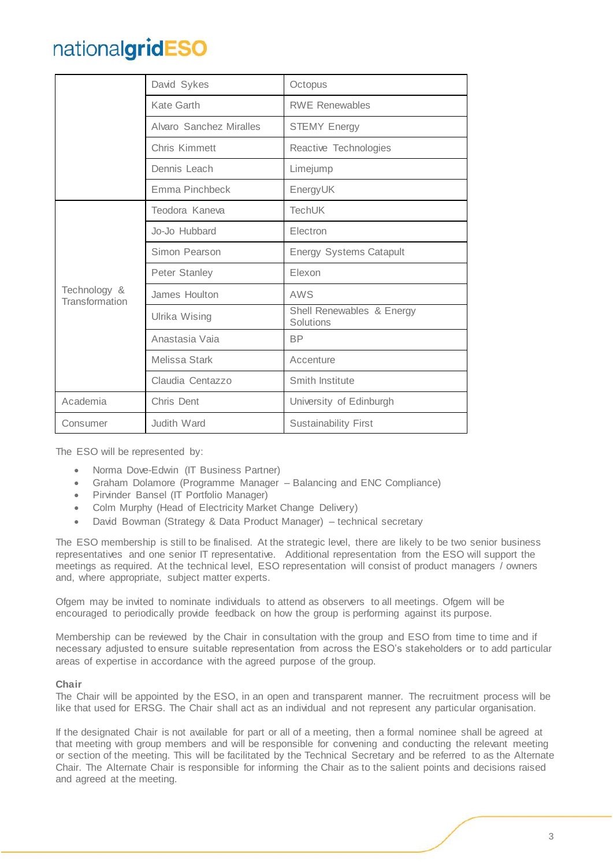|                                | David Sykes             | Octopus                                |
|--------------------------------|-------------------------|----------------------------------------|
|                                | Kate Garth              | <b>RWE Renewables</b>                  |
|                                | Alvaro Sanchez Miralles | <b>STEMY Energy</b>                    |
|                                | Chris Kimmett           | Reactive Technologies                  |
|                                | Dennis Leach            | Limejump                               |
|                                | Emma Pinchbeck          | EnergyUK                               |
|                                | Teodora Kaneva          | <b>TechUK</b>                          |
|                                | Jo-Jo Hubbard           | Electron                               |
|                                | Simon Pearson           | <b>Energy Systems Catapult</b>         |
|                                | Peter Stanley           | Elexon                                 |
| Technology &<br>Transformation | James Houlton           | AWS                                    |
|                                | Ulrika Wising           | Shell Renewables & Energy<br>Solutions |
|                                | Anastasia Vaia          | <b>BP</b>                              |
|                                | Melissa Stark           | Accenture                              |
|                                | Claudia Centazzo        | Smith Institute                        |
| Academia                       | Chris Dent              | University of Edinburgh                |
| Consumer                       | Judith Ward             | <b>Sustainability First</b>            |

The ESO will be represented by:

- Norma Dove-Edwin (IT Business Partner)
- Graham Dolamore (Programme Manager Balancing and ENC Compliance)
- Pirvinder Bansel (IT Portfolio Manager)
- Colm Murphy (Head of Electricity Market Change Delivery)
- David Bowman (Strategy & Data Product Manager) technical secretary

The ESO membership is still to be finalised. At the strategic level, there are likely to be two senior business representatives and one senior IT representative. Additional representation from the ESO will support the meetings as required. At the technical level, ESO representation will consist of product managers / owners and, where appropriate, subject matter experts.

Ofgem may be invited to nominate individuals to attend as observers to all meetings. Ofgem will be encouraged to periodically provide feedback on how the group is performing against its purpose.

Membership can be reviewed by the Chair in consultation with the group and ESO from time to time and if necessary adjusted to ensure suitable representation from across the ESO's stakeholders or to add particular areas of expertise in accordance with the agreed purpose of the group.

### **Chair**

The Chair will be appointed by the ESO, in an open and transparent manner. The recruitment process will be like that used for ERSG. The Chair shall act as an individual and not represent any particular organisation.

If the designated Chair is not available for part or all of a meeting, then a formal nominee shall be agreed at that meeting with group members and will be responsible for convening and conducting the relevant meeting or section of the meeting. This will be facilitated by the Technical Secretary and be referred to as the Alternate Chair. The Alternate Chair is responsible for informing the Chair as to the salient points and decisions raised and agreed at the meeting.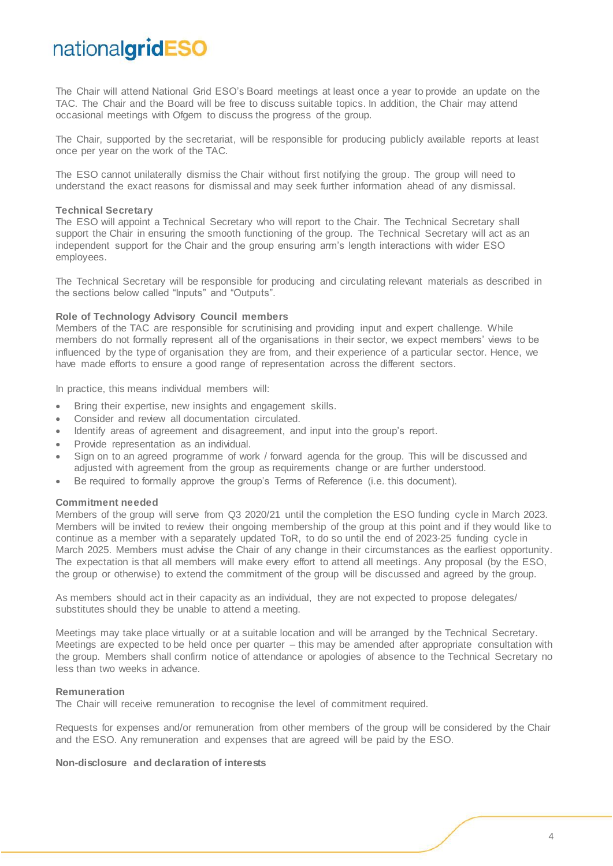The Chair will attend National Grid ESO's Board meetings at least once a year to provide an update on the TAC. The Chair and the Board will be free to discuss suitable topics. In addition, the Chair may attend occasional meetings with Ofgem to discuss the progress of the group.

The Chair, supported by the secretariat, will be responsible for producing publicly available reports at least once per year on the work of the TAC.

The ESO cannot unilaterally dismiss the Chair without first notifying the group. The group will need to understand the exact reasons for dismissal and may seek further information ahead of any dismissal.

#### **Technical Secretary**

The ESO will appoint a Technical Secretary who will report to the Chair. The Technical Secretary shall support the Chair in ensuring the smooth functioning of the group. The Technical Secretary will act as an independent support for the Chair and the group ensuring arm's length interactions with wider ESO employees.

The Technical Secretary will be responsible for producing and circulating relevant materials as described in the sections below called "Inputs" and "Outputs".

#### **Role of Technology Advisory Council members**

Members of the TAC are responsible for scrutinising and providing input and expert challenge. While members do not formally represent all of the organisations in their sector, we expect members' views to be influenced by the type of organisation they are from, and their experience of a particular sector. Hence, we have made efforts to ensure a good range of representation across the different sectors.

In practice, this means individual members will:

- Bring their expertise, new insights and engagement skills.
- Consider and review all documentation circulated.
- Identify areas of agreement and disagreement, and input into the group's report.
- Provide representation as an individual.
- Sign on to an agreed programme of work / forward agenda for the group. This will be discussed and adjusted with agreement from the group as requirements change or are further understood.
- Be required to formally approve the group's Terms of Reference (i.e. this document).

#### **Commitment needed**

Members of the group will serve from Q3 2020/21 until the completion the ESO funding cycle in March 2023. Members will be invited to review their ongoing membership of the group at this point and if they would like to continue as a member with a separately updated ToR, to do so until the end of 2023-25 funding cycle in March 2025. Members must advise the Chair of any change in their circumstances as the earliest opportunity. The expectation is that all members will make every effort to attend all meetings. Any proposal (by the ESO, the group or otherwise) to extend the commitment of the group will be discussed and agreed by the group.

As members should act in their capacity as an individual, they are not expected to propose delegates/ substitutes should they be unable to attend a meeting.

Meetings may take place virtually or at a suitable location and will be arranged by the Technical Secretary. Meetings are expected to be held once per quarter – this may be amended after appropriate consultation with the group. Members shall confirm notice of attendance or apologies of absence to the Technical Secretary no less than two weeks in advance.

#### **Remuneration**

The Chair will receive remuneration to recognise the level of commitment required.

Requests for expenses and/or remuneration from other members of the group will be considered by the Chair and the ESO. Any remuneration and expenses that are agreed will be paid by the ESO.

### **Non-disclosure and declaration of interests**